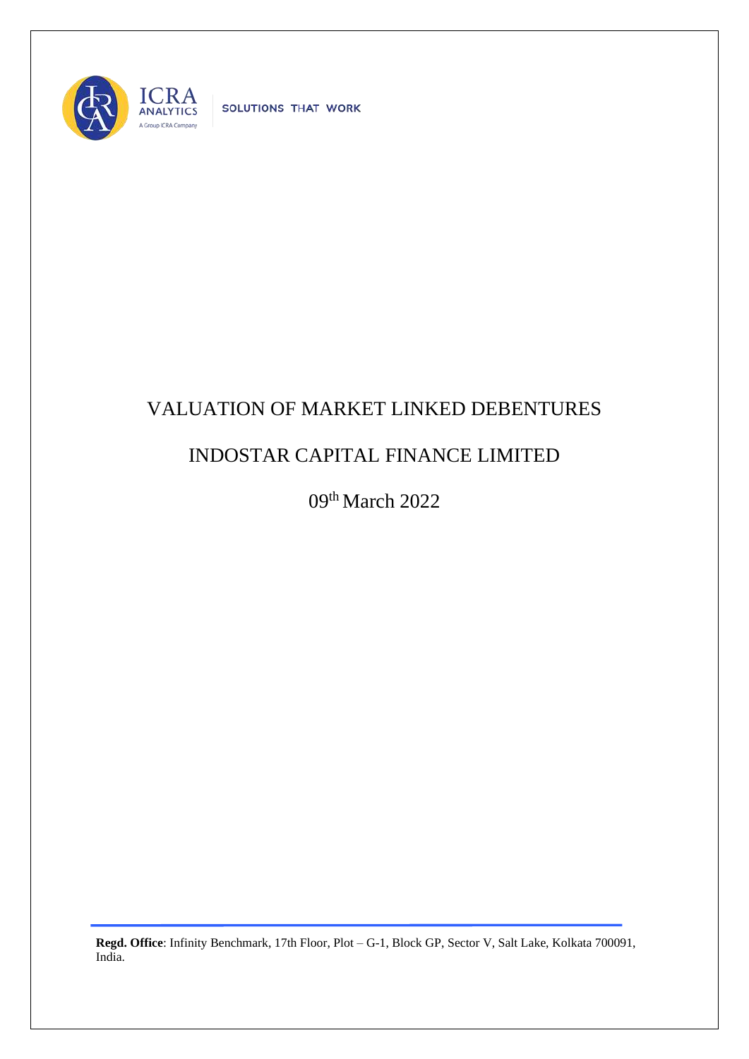

SOLUTIONS THAT WORK

## VALUATION OF MARKET LINKED DEBENTURES

## INDOSTAR CAPITAL FINANCE LIMITED

09th March 2022

**Regd. Office**: Infinity Benchmark, 17th Floor, Plot – G-1, Block GP, Sector V, Salt Lake, Kolkata 700091, India.